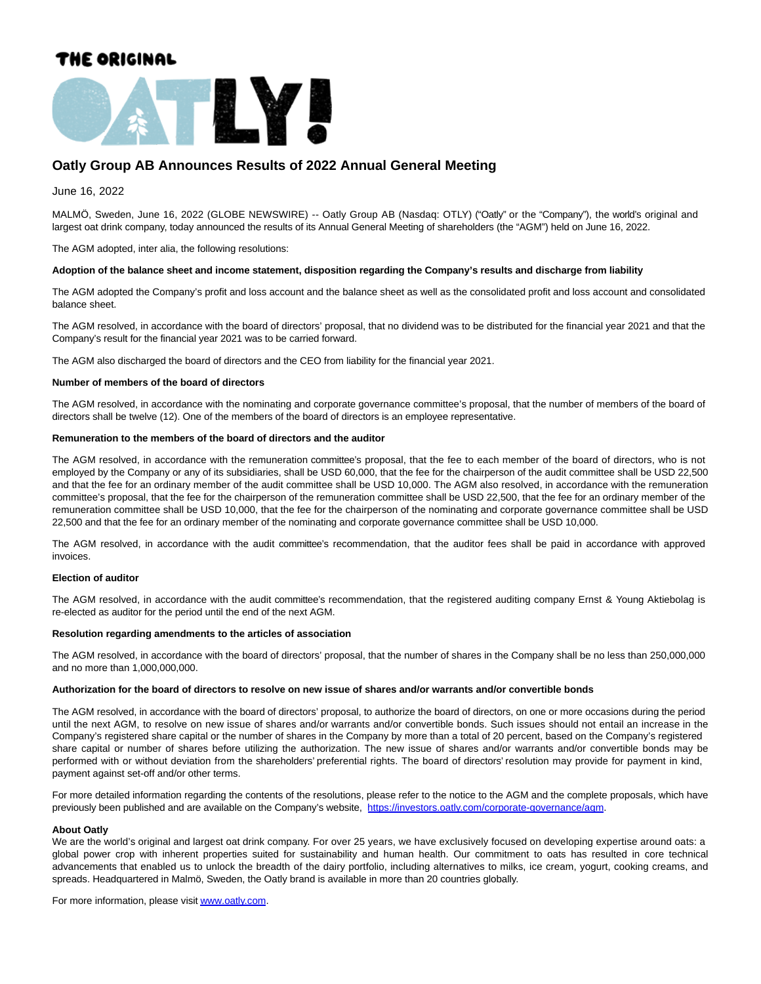# THE ORIGINAL



# **Oatly Group AB Announces Results of 2022 Annual General Meeting**

June 16, 2022

MALMÖ, Sweden, June 16, 2022 (GLOBE NEWSWIRE) -- Oatly Group AB (Nasdaq: OTLY) ("Oatly" or the "Company"), the world's original and largest oat drink company, today announced the results of its Annual General Meeting of shareholders (the "AGM") held on June 16, 2022.

The AGM adopted, inter alia, the following resolutions:

#### **Adoption of the balance sheet and income statement, disposition regarding the Company's results and discharge from liability**

The AGM adopted the Company's profit and loss account and the balance sheet as well as the consolidated profit and loss account and consolidated balance sheet.

The AGM resolved, in accordance with the board of directors' proposal, that no dividend was to be distributed for the financial year 2021 and that the Company's result for the financial year 2021 was to be carried forward.

The AGM also discharged the board of directors and the CEO from liability for the financial year 2021.

#### **Number of members of the board of directors**

The AGM resolved, in accordance with the nominating and corporate governance committee's proposal, that the number of members of the board of directors shall be twelve (12). One of the members of the board of directors is an employee representative.

#### **Remuneration to the members of the board of directors and the auditor**

The AGM resolved, in accordance with the remuneration committee's proposal, that the fee to each member of the board of directors, who is not employed by the Company or any of its subsidiaries, shall be USD 60,000, that the fee for the chairperson of the audit committee shall be USD 22,500 and that the fee for an ordinary member of the audit committee shall be USD 10,000. The AGM also resolved, in accordance with the remuneration committee's proposal, that the fee for the chairperson of the remuneration committee shall be USD 22,500, that the fee for an ordinary member of the remuneration committee shall be USD 10,000, that the fee for the chairperson of the nominating and corporate governance committee shall be USD 22,500 and that the fee for an ordinary member of the nominating and corporate governance committee shall be USD 10,000.

The AGM resolved, in accordance with the audit committee's recommendation, that the auditor fees shall be paid in accordance with approved invoices.

## **Election of auditor**

The AGM resolved, in accordance with the audit committee's recommendation, that the registered auditing company Ernst & Young Aktiebolag is re-elected as auditor for the period until the end of the next AGM.

#### **Resolution regarding amendments to the articles of association**

The AGM resolved, in accordance with the board of directors' proposal, that the number of shares in the Company shall be no less than 250,000,000 and no more than 1,000,000,000.

### **Authorization for the board of directors to resolve on new issue of shares and/or warrants and/or convertible bonds**

The AGM resolved, in accordance with the board of directors' proposal, to authorize the board of directors, on one or more occasions during the period until the next AGM, to resolve on new issue of shares and/or warrants and/or convertible bonds. Such issues should not entail an increase in the Company's registered share capital or the number of shares in the Company by more than a total of 20 percent, based on the Company's registered share capital or number of shares before utilizing the authorization. The new issue of shares and/or warrants and/or convertible bonds may be performed with or without deviation from the shareholders' preferential rights. The board of directors' resolution may provide for payment in kind, payment against set-off and/or other terms.

For more detailed information regarding the contents of the resolutions, please refer to the notice to the AGM and the complete proposals, which have previously been published and are available on the Company's website, [https://investors.oatly.com/corporate-governance/agm.](https://www.globenewswire.com/Tracker?data=aalNXHoBlSIgky9-cS8E1trzrXgk3F6wo3lD3oAx5DpLjFkbGtC32RpHc4El5rWdjtommT_flcokimkO-4Dimf5Edp9kL85j3wjuArfqlXAlU1fMDAauXlJdTztyiFB2LwCkjBDC1DUBMQQvrhlNkrhKeBk47XdinDgBWvEnkN8=)

#### **About Oatly**

We are the world's original and largest oat drink company. For over 25 years, we have exclusively focused on developing expertise around oats: a global power crop with inherent properties suited for sustainability and human health. Our commitment to oats has resulted in core technical advancements that enabled us to unlock the breadth of the dairy portfolio, including alternatives to milks, ice cream, yogurt, cooking creams, and spreads. Headquartered in Malmö, Sweden, the Oatly brand is available in more than 20 countries globally.

For more information, please visi[t www.oatly.com.](https://www.globenewswire.com/Tracker?data=EJI7yfVYECVed9b6Hn3YcolnMGtegeInI3mXA-p5LdfXWrujcF2mkjLrXg4INGFanJ4rr7-RlVE9hCuMw5ZY9g==)